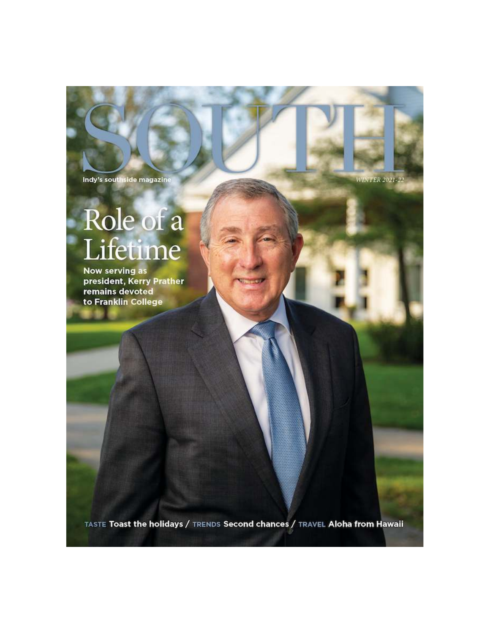Indy's southside magazine

**WINTER 2021-22** 

# Role of a<br>Lifetime

Now serving as president, Kerry Prather remains devoted to Franklin College

TASTE Toast the holidays / TRENDS Second chances / TRAVEL Aloha from Hawaii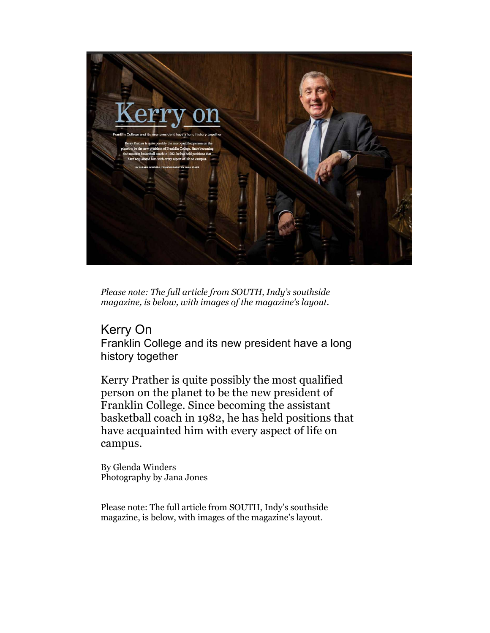

*Please note: The full article from SOUTH, Indy's southside magazine, is below, with images of the magazine's layout.*

# Kerry On

Franklin College and its new president have a long history together

Kerry Prather is quite possibly the most qualified person on the planet to be the new president of Franklin College. Since becoming the assistant basketball coach in 1982, he has held positions that have acquainted him with every aspect of life on campus.

By Glenda Winders Photography by Jana Jones

Please note: The full article from SOUTH, Indy's southside magazine, is below, with images of the magazine's layout.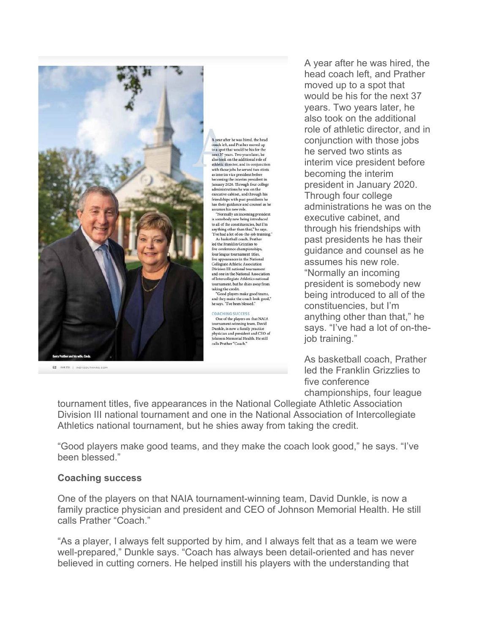

62 SOLTIL | INDYSQUTHHAG.COM

A year after he was hired, the head coach left, and Prather moved up to a spot that would be his for the next 37 years. Two years later, he also took on the additional role of athletic director, and in conjunction with those jobs he served two stints as interim vice president before becoming the interim president in<br>January 2020. Through four college administrations he was on the executive cabinet, and through his friendships with past presidents he has their guidance and counsel as he<br>assumes his new role.

"Normally an incoming president is somebody new being introduced<br>to all of the constituencies, but I'm anything other than that," he says.<br>"I've had a lot of on-the-job training<br>As basketball coach, Prather led the Franklin Grizzlies to five conference championships four league tournament titles, four league tournament titles,<br>five appearances in the National<br>Collegiate Athletic Association Division III national tournament and one in the National Association of Intercollegiate Athletics national tournament, but he shies away from taking the credit. Good players make good teams,

and they make the coach look good," he says. "I've been blessed."

**COACHING SUCCESS** One of the players on that NAIA tournament-winning team, David Dunkle, is now a family practice and president and CEO of Johnson Memorial Health. He still calls Prather "Coach."

A year after he was hired, the head coach left, and Prather moved up to a spot that would be his for the next 37 years. Two years later, he also took on the additional role of athletic director, and in conjunction with those jobs he served two stints as interim vice president before becoming the interim president in January 2020. Through four college administrations he was on the executive cabinet, and through his friendships with past presidents he has their guidance and counsel as he assumes his new role. "Normally an incoming president is somebody new being introduced to all of the constituencies, but I'm anything other than that," he says. "I've had a lot of on-theiob training."

As basketball coach, Prather led the Franklin Grizzlies to five conference championships, four league

tournament titles, five appearances in the National Collegiate Athletic Association Division III national tournament and one in the National Association of Intercollegiate Athletics national tournament, but he shies away from taking the credit.

"Good players make good teams, and they make the coach look good," he says. "I've been blessed."

# **Coaching success**

One of the players on that NAIA tournament-winning team, David Dunkle, is now a family practice physician and president and CEO of Johnson Memorial Health. He still calls Prather "Coach."

"As a player, I always felt supported by him, and I always felt that as a team we were well-prepared," Dunkle says. "Coach has always been detail-oriented and has never believed in cutting corners. He helped instill his players with the understanding that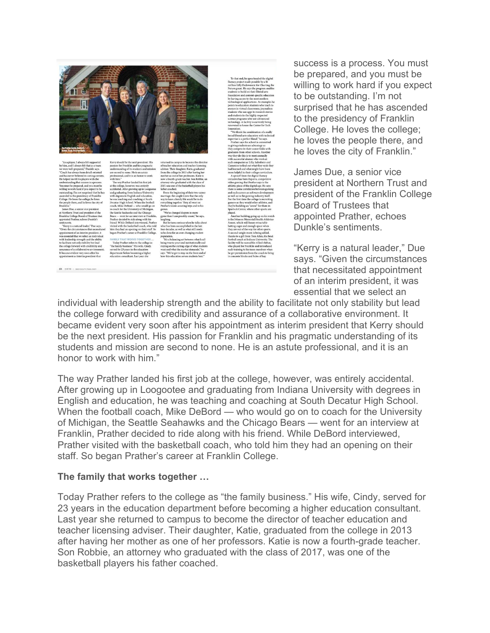

success is a process. You must be prepared, and you must be willing to work hard if you expect to be outstanding. I'm not surprised that he has ascended to the presidency of Franklin College. He loves the college; he loves the people there, and he loves the city of Franklin."

James Due, a senior vice president at Northern Trust and president of the Franklin College Board of Trustees that appointed Prather, echoes Dunkle's sentiments.

"Kerry is a natural leader," Due says. "Given the circumstances that necessitated appointment of an interim president, it was essential that we select an

individual with leadership strength and the ability to facilitate not only stability but lead the college forward with credibility and assurance of a collaborative environment. It became evident very soon after his appointment as interim president that Kerry should be the next president. His passion for Franklin and his pragmatic understanding of its students and mission are second to none. He is an astute professional, and it is an honor to work with him."

The way Prather landed his first job at the college, however, was entirely accidental. After growing up in Loogootee and graduating from Indiana University with degrees in English and education, he was teaching and coaching at South Decatur High School. When the football coach, Mike DeBord — who would go on to coach for the University of Michigan, the Seattle Seahawks and the Chicago Bears — went for an interview at Franklin, Prather decided to ride along with his friend. While DeBord interviewed, Prather visited with the basketball coach, who told him they had an opening on their staff. So began Prather's career at Franklin College.

#### **The family that works together …**

Today Prather refers to the college as "the family business." His wife, Cindy, served for 23 years in the education department before becoming a higher education consultant. Last year she returned to campus to become the director of teacher education and teacher licensing adviser. Their daughter, Katie, graduated from the college in 2013 after having her mother as one of her professors. Katie is now a fourth-grade teacher. Son Robbie, an attorney who graduated with the class of 2017, was one of the basketball players his father coached.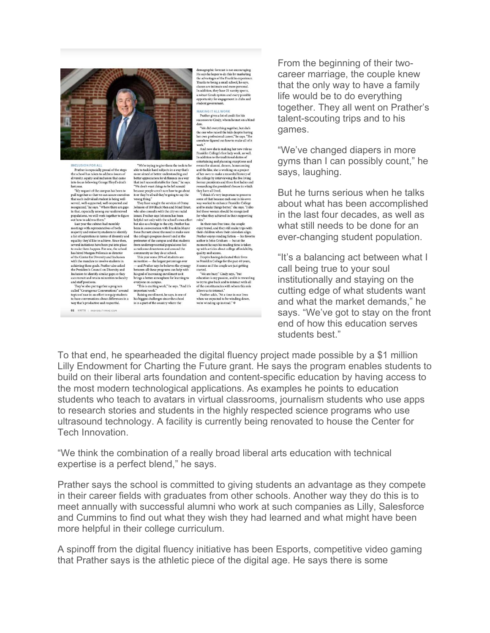

FORAL

INCLUSION FOR ALL<br>Prather is especially proud of the steps<br>the school has taken to address issues of<br>diversity, equity and inclusion that came<br>into focus following George Floyd's death<br>last year.

 $\label{eq:1} \begin{minipage}{0.9\textwidth} \begin{tabular}{lcccc} \textbf{c} & \textbf{c} & \textbf{c} & \textbf{c} & \textbf{c} & \textbf{c} & \textbf{c} & \textbf{c} & \textbf{c} & \textbf{c} & \textbf{c} & \textbf{c} & \textbf{c} & \textbf{c} & \textbf{c} & \textbf{c} & \textbf{c} & \textbf{c} & \textbf{c} & \textbf{c} & \textbf{c} & \textbf{c} & \textbf{c} & \textbf{c} & \textbf{c} & \textbf{c} & \textbf{c} & \$ 66 SOUTH | 1

'We're trying to give them the tools to be able to tackle hard subjects in a way that's more aimed at better understanding and<br>better appreciation for difference in a way<br>that isn't uncomfortable for them," he says.<br>"We don't want things to be left unsaid

into focus following George Floyd's death<br>
that in the uncombridate for them," he says former presidents and three first ladies and<br>
ladies and the capacity of the capacity of the capacity and the same<br>species of the capa

demographic forecast is not encouraging. He says he hopes to do this by marketing the advantages of the Franklin experience classes are intimate and mood, he says. Classes are intimate and more personal. In addition, they In addition, they have 21 varsity sports,<br>a robust Greek system and every possible<br>opportunity for engagement in clubs and<br>student government.

MAKING IT ALL WO

Prather gives a lot of credit for his<br>uccesses to Cindy, whom he met on a blind

successes to Cindy, whom he met on a blind<br>date.<br>"We did everything together, but she's<br>the one who raised the kids despite having<br>her own professional career," he says. "She somehow figured out how to make all of it work.

ork.<br>And now she is making her new role as Franklin College's first lady work, as well.<br>In addition to the traditional duties of In addition to the traditional duties of<br>entertaining and planning receptions and<br>events for alumni, donors, homecoming<br>and the like, she is working on a project of her own to make a recorded history of<br>the college by interviewing the five living<br>former presidents and three first ladies and<br>researching the president's house in which

allows us to interact. Prather adds. "At a time in our lives when we expected to be winding down, we're winding up instead."  $\textcircled{e}$ 

From the beginning of their twocareer marriage, the couple knew that the only way to have a family life would be to do everything together. They all went on Prather's talent-scouting trips and to his games.

"We've changed diapers in more gyms than I can possibly count," he says, laughing.

But he turns serious when he talks about what has been accomplished in the last four decades, as well as what still needs to be done for an ever-changing student population.

"It's a balancing act between what I call being true to your soul institutionally and staying on the cutting edge of what students want and what the market demands," he says. "We've got to stay on the front end of how this education serves students best."

To that end, he spearheaded the digital fluency project made possible by a \$1 million Lilly Endowment for Charting the Future grant. He says the program enables students to build on their liberal arts foundation and content-specific education by having access to the most modern technological applications. As examples he points to education students who teach to avatars in virtual classrooms, journalism students who use apps to research stories and students in the highly respected science programs who use ultrasound technology. A facility is currently being renovated to house the Center for Tech Innovation.

"We think the combination of a really broad liberal arts education with technical expertise is a perfect blend," he says.

Prather says the school is committed to giving students an advantage as they compete in their career fields with graduates from other schools. Another way they do this is to meet annually with successful alumni who work at such companies as Lilly, Salesforce and Cummins to find out what they wish they had learned and what might have been more helpful in their college curriculum.

A spinoff from the digital fluency initiative has been Esports, competitive video gaming that Prather says is the athletic piece of the digital age. He says there is some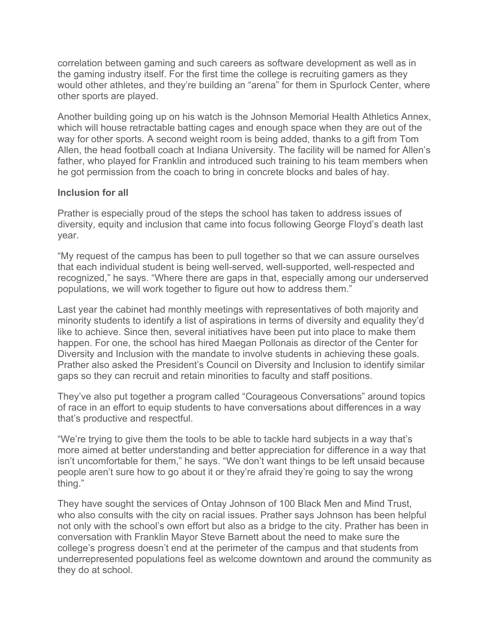correlation between gaming and such careers as software development as well as in the gaming industry itself. For the first time the college is recruiting gamers as they would other athletes, and they're building an "arena" for them in Spurlock Center, where other sports are played.

Another building going up on his watch is the Johnson Memorial Health Athletics Annex, which will house retractable batting cages and enough space when they are out of the way for other sports. A second weight room is being added, thanks to a gift from Tom Allen, the head football coach at Indiana University. The facility will be named for Allen's father, who played for Franklin and introduced such training to his team members when he got permission from the coach to bring in concrete blocks and bales of hay.

# **Inclusion for all**

Prather is especially proud of the steps the school has taken to address issues of diversity, equity and inclusion that came into focus following George Floyd's death last year.

"My request of the campus has been to pull together so that we can assure ourselves that each individual student is being well-served, well-supported, well-respected and recognized," he says. "Where there are gaps in that, especially among our underserved populations, we will work together to figure out how to address them."

Last year the cabinet had monthly meetings with representatives of both majority and minority students to identify a list of aspirations in terms of diversity and equality they'd like to achieve. Since then, several initiatives have been put into place to make them happen. For one, the school has hired Maegan Pollonais as director of the Center for Diversity and Inclusion with the mandate to involve students in achieving these goals. Prather also asked the President's Council on Diversity and Inclusion to identify similar gaps so they can recruit and retain minorities to faculty and staff positions.

They've also put together a program called "Courageous Conversations" around topics of race in an effort to equip students to have conversations about differences in a way that's productive and respectful.

"We're trying to give them the tools to be able to tackle hard subjects in a way that's more aimed at better understanding and better appreciation for difference in a way that isn't uncomfortable for them," he says. "We don't want things to be left unsaid because people aren't sure how to go about it or they're afraid they're going to say the wrong thing."

They have sought the services of Ontay Johnson of 100 Black Men and Mind Trust, who also consults with the city on racial issues. Prather says Johnson has been helpful not only with the school's own effort but also as a bridge to the city. Prather has been in conversation with Franklin Mayor Steve Barnett about the need to make sure the college's progress doesn't end at the perimeter of the campus and that students from underrepresented populations feel as welcome downtown and around the community as they do at school.